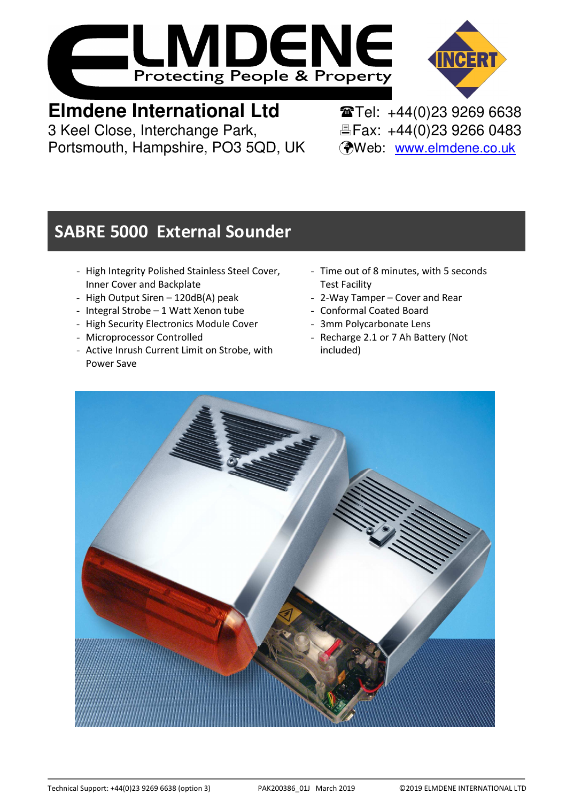



**Elmdene International Ltd**<br> **Elmdene Interchange Park.**<br> **Elmdene Interchange Park.**<br> **Elmdene Interchange Park.**<br> **Elmdene International Elmente International Elmente International Elmente International Elmente Internati** 3 Keel Close, Interchange Park, Portsmouth, Hampshire, PO3 5QD, UK Web: www.elmdene.co.uk

# **SABRE 5000 External Sounder**

- High Integrity Polished Stainless Steel Cover, Inner Cover and Backplate
- High Output Siren 120dB(A) peak
- Integral Strobe 1 Watt Xenon tube
- High Security Electronics Module Cover
- Microprocessor Controlled
- Active Inrush Current Limit on Strobe, with Power Save
- Time out of 8 minutes, with 5 seconds Test Facility
- 2-Way Tamper Cover and Rear
- Conformal Coated Board
- 3mm Polycarbonate Lens
- Recharge 2.1 or 7 Ah Battery (Not included)

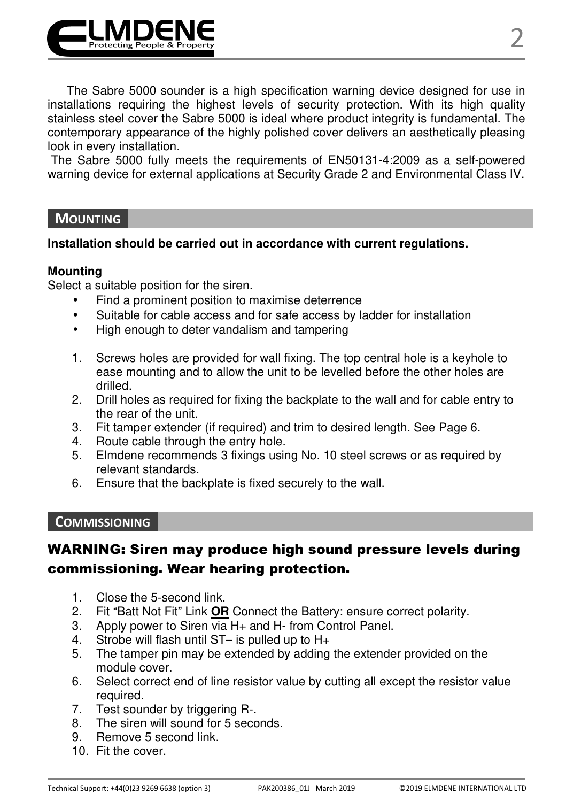

The Sabre 5000 sounder is a high specification warning device designed for use in installations requiring the highest levels of security protection. With its high quality stainless steel cover the Sabre 5000 is ideal where product integrity is fundamental. The contemporary appearance of the highly polished cover delivers an aesthetically pleasing look in every installation.

 The Sabre 5000 fully meets the requirements of EN50131-4:2009 as a self-powered warning device for external applications at Security Grade 2 and Environmental Class IV.

#### **MOUNTING**

#### **Installation should be carried out in accordance with current regulations.**

#### **Mounting**

Select a suitable position for the siren.

- Find a prominent position to maximise deterrence
- Suitable for cable access and for safe access by ladder for installation
- High enough to deter vandalism and tampering
- 1. Screws holes are provided for wall fixing. The top central hole is a keyhole to ease mounting and to allow the unit to be levelled before the other holes are drilled.
- 2. Drill holes as required for fixing the backplate to the wall and for cable entry to the rear of the unit.
- 3. Fit tamper extender (if required) and trim to desired length. See Page 6.
- 4. Route cable through the entry hole.
- 5. Elmdene recommends 3 fixings using No. 10 steel screws or as required by relevant standards.
- 6. Ensure that the backplate is fixed securely to the wall.

#### **COMMISSIONING**

### WARNING: Siren may produce high sound pressure levels during commissioning. Wear hearing protection.

- 1. Close the 5-second link.
- 2. Fit "Batt Not Fit" Link **OR** Connect the Battery: ensure correct polarity.
- 3. Apply power to Siren via H+ and H- from Control Panel.
- 4. Strobe will flash until ST– is pulled up to H+
- 5. The tamper pin may be extended by adding the extender provided on the module cover.
- 6. Select correct end of line resistor value by cutting all except the resistor value required.
- 7. Test sounder by triggering R-.
- 8. The siren will sound for 5 seconds.<br>9. Bemove 5 second link.
- 9. Remove 5 second link.
- 10. Fit the cover.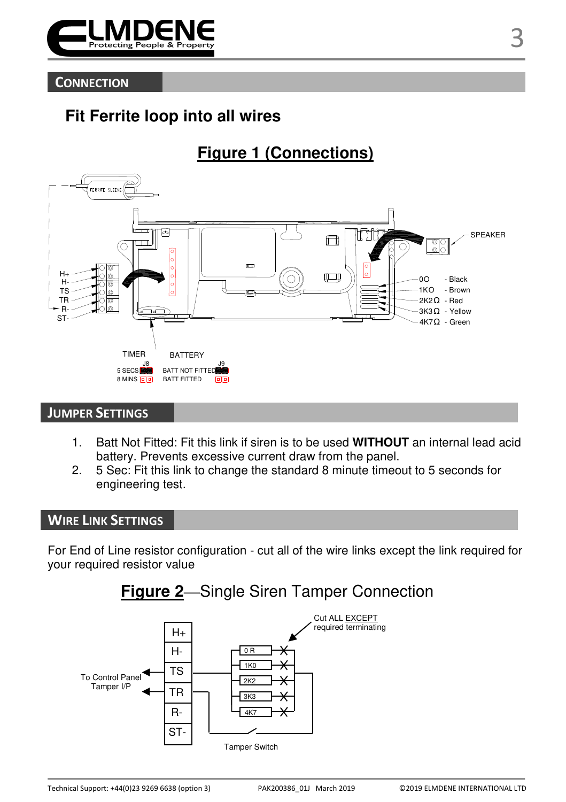

**CONNECTION**

## **Fit Ferrite loop into all wires**

# **Figure 1 (Connections)**



#### **JUMPER SETTINGS**

- 1. Batt Not Fitted: Fit this link if siren is to be used **WITHOUT** an internal lead acid battery. Prevents excessive current draw from the panel.
- 2. 5 Sec: Fit this link to change the standard 8 minute timeout to 5 seconds for engineering test.

#### **WIRE LINK SETTINGS**

For End of Line resistor configuration - cut all of the wire links except the link required for your required resistor value



**Figure 2**—Single Siren Tamper Connection

Technical Support: +44(0)23 9269 6638 (option 3) PAK200386\_01J March 2019 ©2019 ELMDENE INTERNATIONAL LTD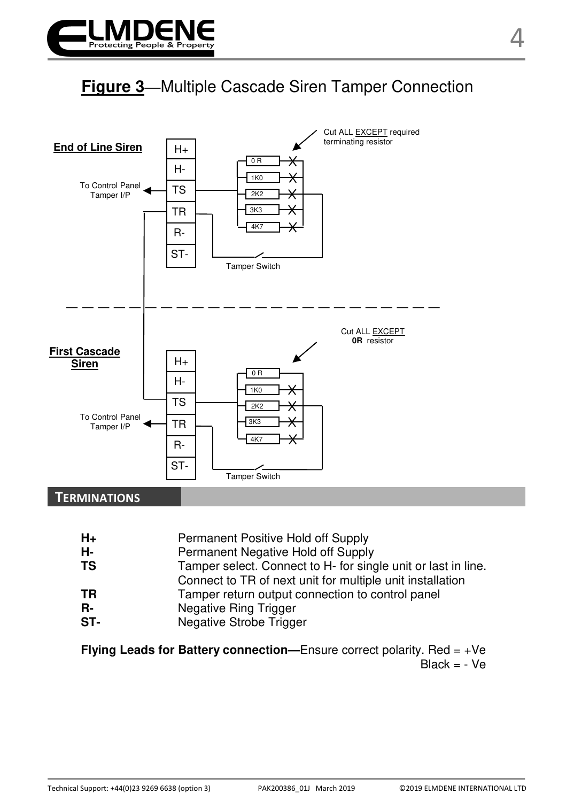

# **Figure 3**—Multiple Cascade Siren Tamper Connection



#### **TERMINATIONS**

| H+  | Permanent Positive Hold off Supply                            |
|-----|---------------------------------------------------------------|
| н-  | Permanent Negative Hold off Supply                            |
| TS  | Tamper select. Connect to H- for single unit or last in line. |
|     | Connect to TR of next unit for multiple unit installation     |
| TR  | Tamper return output connection to control panel              |
| R-  | Negative Ring Trigger                                         |
| ST- | Negative Strobe Trigger                                       |
|     |                                                               |

```
Flying Leads for Battery connection—Ensure correct polarity. Red = +Ve
                                                 Black = - Ve
```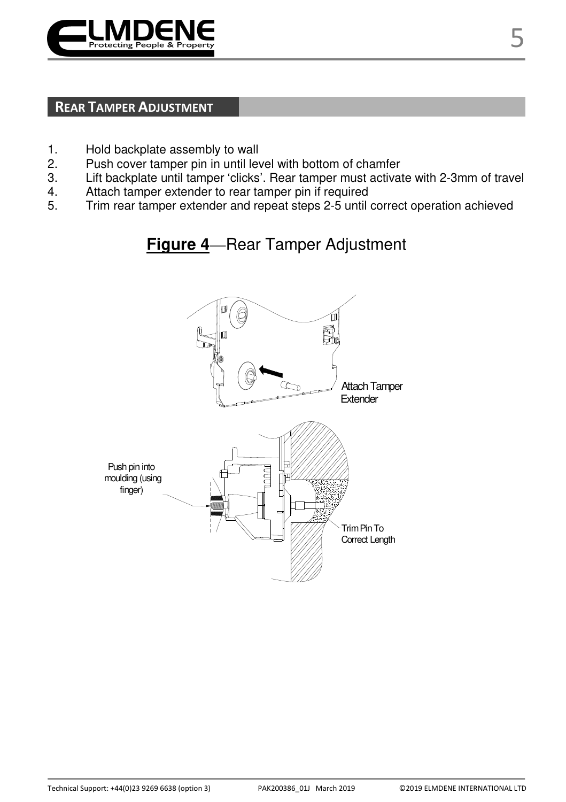

#### **REAR TAMPER ADJUSTMENT**

- 1. Hold backplate assembly to wall<br>2. Push cover tamper pin in until let
- Push cover tamper pin in until level with bottom of chamfer
- 3. Lift backplate until tamper 'clicks'. Rear tamper must activate with 2-3mm of travel
- 4. Attach tamper extender to rear tamper pin if required<br>5. Trim rear tamper extender and repeat steps 2-5 until
- 5. Trim rear tamper extender and repeat steps 2-5 until correct operation achieved

# **Figure 4**—Rear Tamper Adjustment

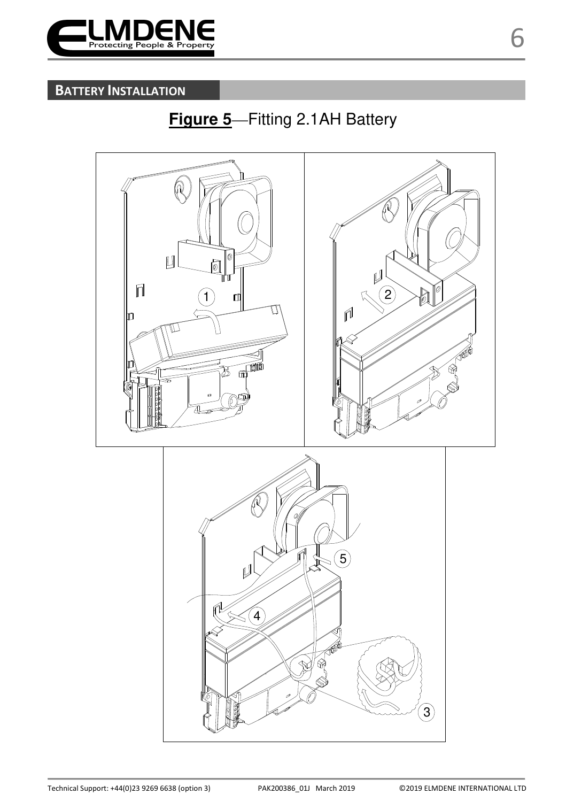

### **BATTERY INSTALLATION**

# **Figure 5**—Fitting 2.1AH Battery

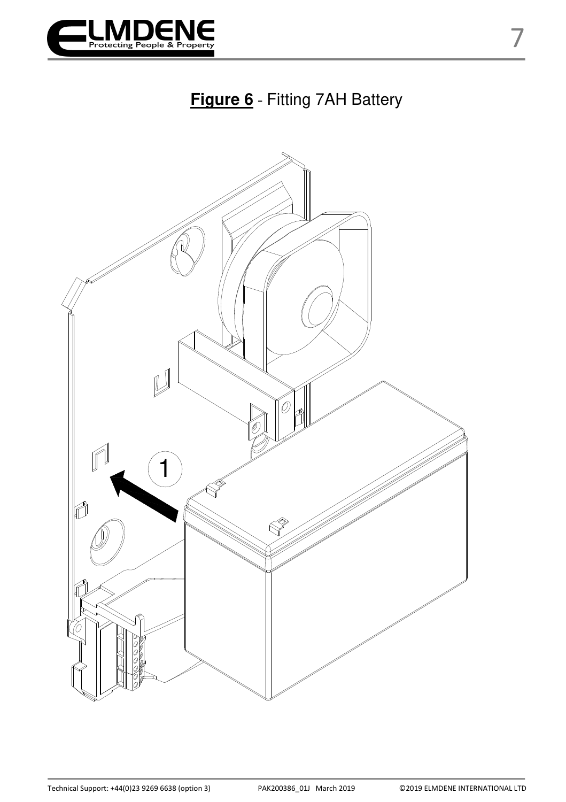

# **Figure 6** - Fitting 7AH Battery

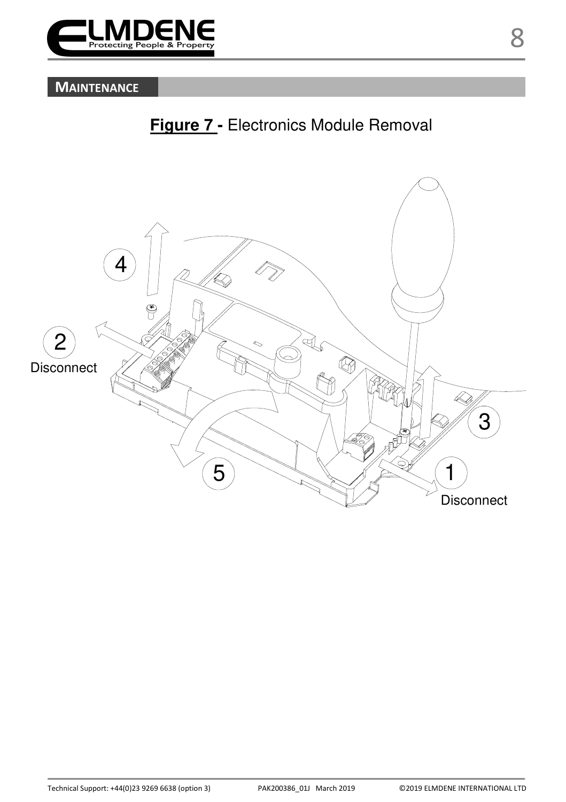

### **MAINTENANCE**



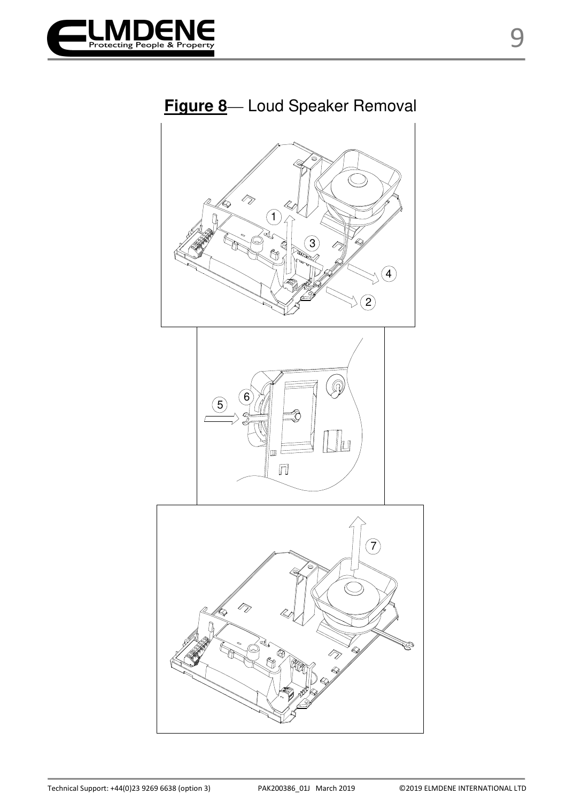



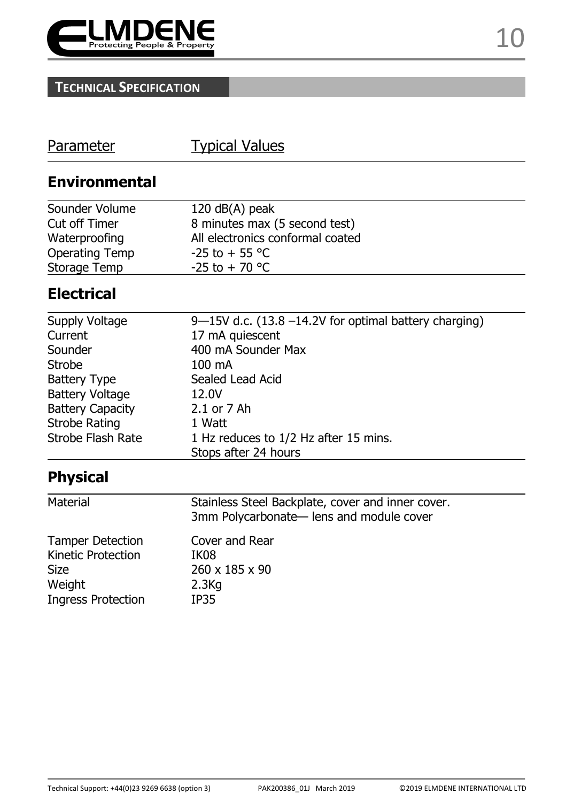

## **TECHNICAL SPECIFICATION**

|  | Parameter | <b>Typical Values</b> |
|--|-----------|-----------------------|
|--|-----------|-----------------------|

## **Environmental**

| Sounder Volume | 120 $dB(A)$ peak                 |  |
|----------------|----------------------------------|--|
| Cut off Timer  | 8 minutes max (5 second test)    |  |
| Waterproofing  | All electronics conformal coated |  |
| Operating Temp | $-25$ to $+55$ °C                |  |
| Storage Temp   | $-25$ to $+70$ °C                |  |

## **Electrical**

| Supply Voltage          | $9-15V$ d.c. (13.8 -14.2V for optimal battery charging) |
|-------------------------|---------------------------------------------------------|
| Current                 | 17 mA quiescent                                         |
| Sounder                 | 400 mA Sounder Max                                      |
| Strobe                  | 100 mA                                                  |
| <b>Battery Type</b>     | Sealed Lead Acid                                        |
| <b>Battery Voltage</b>  | 12.0V                                                   |
| <b>Battery Capacity</b> | 2.1 or 7 Ah                                             |
| Strobe Rating           | 1 Watt                                                  |
| Strobe Flash Rate       | 1 Hz reduces to 1/2 Hz after 15 mins.                   |
|                         | Stops after 24 hours                                    |

## **Physical**

| Material                  | Stainless Steel Backplate, cover and inner cover.<br>3mm Polycarbonate-lens and module cover |
|---------------------------|----------------------------------------------------------------------------------------------|
| <b>Tamper Detection</b>   | Cover and Rear                                                                               |
| Kinetic Protection        | IK08                                                                                         |
| Size                      | 260 x 185 x 90                                                                               |
| Weight                    | $2.3$ Kg                                                                                     |
| <b>Ingress Protection</b> | IP35                                                                                         |